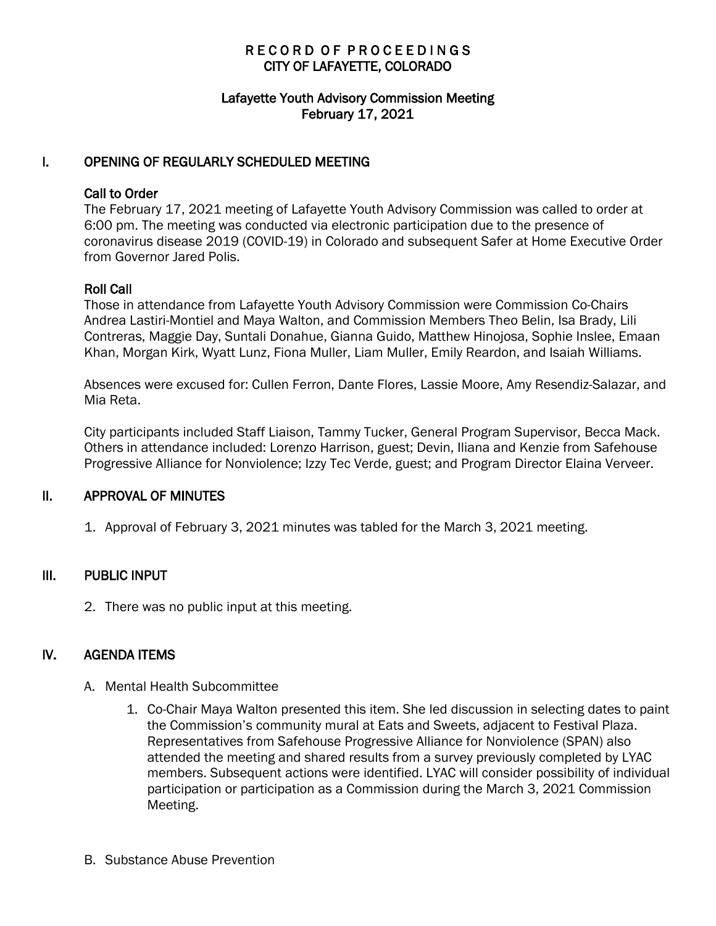# RECORD OF PROCEEDINGS CITY OF LAFAYETTE, COLORADO

## Lafayette Youth Advisory Commission Meeting February 17, 2021

### I. OPENING OF REGULARLY SCHEDULED MEETING

### Call to Order

The February 17, 2021 meeting of Lafayette Youth Advisory Commission was called to order at 6:00 pm. The meeting was conducted via electronic participation due to the presence of coronavirus disease 2019 (COVID-19) in Colorado and subsequent Safer at Home Executive Order from Governor Jared Polis.

### Roll Call

Those in attendance from Lafayette Youth Advisory Commission were Commission Co-Chairs Andrea Lastiri-Montiel and Maya Walton, and Commission Members Theo Belin, Isa Brady, Lili Contreras, Maggie Day, Suntali Donahue, Gianna Guido, Matthew Hinojosa, Sophie Inslee, Emaan Khan, Morgan Kirk, Wyatt Lunz, Fiona Muller, Liam Muller, Emily Reardon, and Isaiah Williams.

Absences were excused for: Cullen Ferron, Dante Flores, Lassie Moore, Amy Resendiz-Salazar, and Mia Reta.

City participants included Staff Liaison, Tammy Tucker, General Program Supervisor, Becca Mack. Others in attendance included: Lorenzo Harrison, guest; Devin, Iliana and Kenzie from Safehouse Progressive Alliance for Nonviolence; Izzy Tec Verde, guest; and Program Director Elaina Verveer.

### II. APPROVAL OF MINUTES

1. Approval of February 3, 2021 minutes was tabled for the March 3, 2021 meeting.

## III. PUBLIC INPUT

2. There was no public input at this meeting.

## IV. AGENDA ITEMS

- A. Mental Health Subcommittee
	- 1. Co-Chair Maya Walton presented this item. She led discussion in selecting dates to paint the Commission's community mural at Eats and Sweets, adjacent to Festival Plaza. Representatives from Safehouse Progressive Alliance for Nonviolence (SPAN) also attended the meeting and shared results from a survey previously completed by LYAC members. Subsequent actions were identified. LYAC will consider possibility of individual participation or participation as a Commission during the March 3, 2021 Commission Meeting.
- B. Substance Abuse Prevention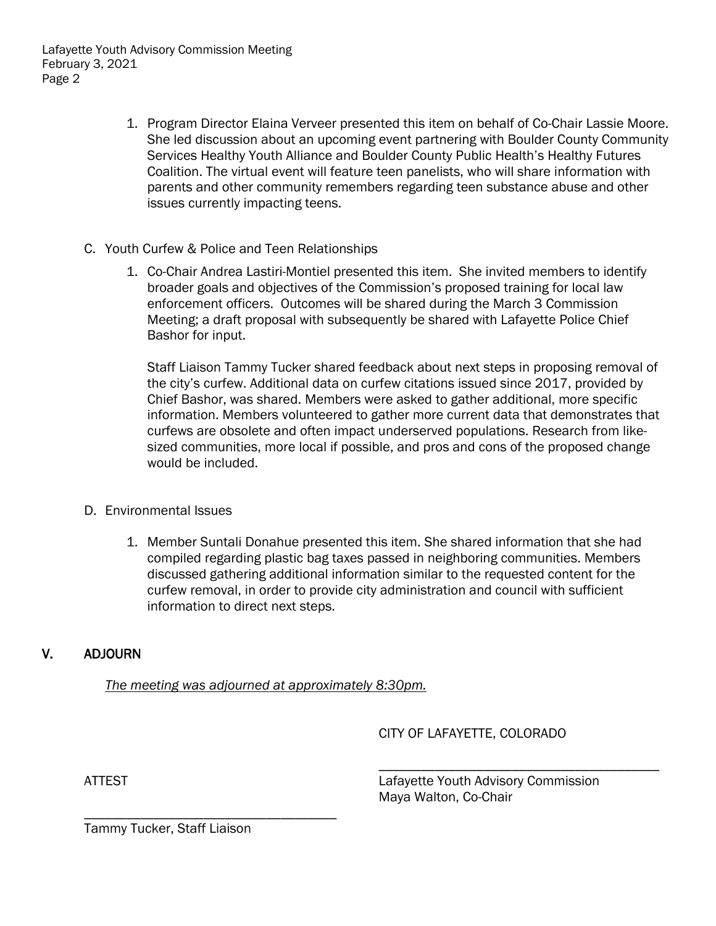- 1. Program Director Elaina Verveer presented this item on behalf of Co-Chair Lassie Moore. She led discussion about an upcoming event partnering with Boulder County Community Services Healthy Youth Alliance and Boulder County Public Health's Healthy Futures Coalition. The virtual event will feature teen panelists, who will share information with parents and other community remembers regarding teen substance abuse and other issues currently impacting teens.
- C. Youth Curfew & Police and Teen Relationships
	- 1. Co-Chair Andrea Lastiri-Montiel presented this item. She invited members to identify broader goals and objectives of the Commission's proposed training for local law enforcement officers. Outcomes will be shared during the March 3 Commission Meeting; a draft proposal with subsequently be shared with Lafayette Police Chief Bashor for input.

Staff Liaison Tammy Tucker shared feedback about next steps in proposing removal of the city's curfew. Additional data on curfew citations issued since 2017, provided by Chief Bashor, was shared. Members were asked to gather additional, more specific information. Members volunteered to gather more current data that demonstrates that curfews are obsolete and often impact underserved populations. Research from likesized communities, more local if possible, and pros and cons of the proposed change would be included.

- D. Environmental Issues
	- 1. Member Suntali Donahue presented this item. She shared information that she had compiled regarding plastic bag taxes passed in neighboring communities. Members discussed gathering additional information similar to the requested content for the curfew removal, in order to provide city administration and council with sufficient information to direct next steps.

## V. ADJOURN

*The meeting was adjourned at approximately 8:30pm.*

CITY OF LAFAYETTE, COLORADO

ATTEST ATTEST AND CONTROLL ATTEST AND LAFAYETTER LATTEST AND LAFAYETTER LATTEST ATTEST AT A LATTEST AND LATTEST ATTESTS AND LATTEST ATTACHMENT ATTESTS AND LATTESTS AND LATTESTS AND LATTESTS AND LATTESTS AND LATTESTS AND LA Maya Walton, Co-Chair

\_\_\_\_\_\_\_\_\_\_\_\_\_\_\_\_\_\_\_\_\_\_\_\_\_\_\_\_\_\_\_\_\_\_\_\_\_\_\_\_

Tammy Tucker, Staff Liaison

\_\_\_\_\_\_\_\_\_\_\_\_\_\_\_\_\_\_\_\_\_\_\_\_\_\_\_\_\_\_\_\_\_\_\_\_